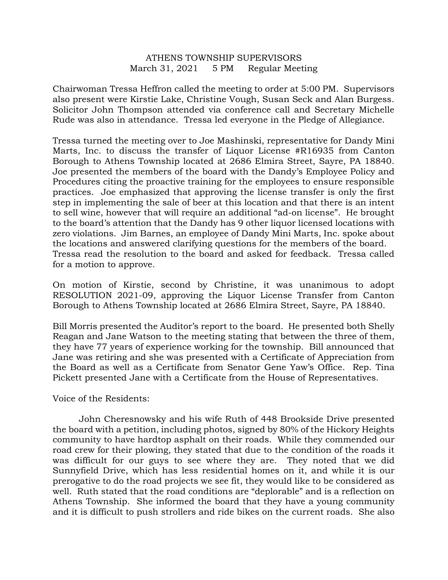## ATHENS TOWNSHIP SUPERVISORS March 31, 2021 5 PM Regular Meeting

Chairwoman Tressa Heffron called the meeting to order at 5:00 PM. Supervisors also present were Kirstie Lake, Christine Vough, Susan Seck and Alan Burgess. Solicitor John Thompson attended via conference call and Secretary Michelle Rude was also in attendance. Tressa led everyone in the Pledge of Allegiance.

Tressa turned the meeting over to Joe Mashinski, representative for Dandy Mini Marts, Inc. to discuss the transfer of Liquor License #R16935 from Canton Borough to Athens Township located at 2686 Elmira Street, Sayre, PA 18840. Joe presented the members of the board with the Dandy's Employee Policy and Procedures citing the proactive training for the employees to ensure responsible practices. Joe emphasized that approving the license transfer is only the first step in implementing the sale of beer at this location and that there is an intent to sell wine, however that will require an additional "ad-on license". He brought to the board's attention that the Dandy has 9 other liquor licensed locations with zero violations. Jim Barnes, an employee of Dandy Mini Marts, Inc. spoke about the locations and answered clarifying questions for the members of the board. Tressa read the resolution to the board and asked for feedback. Tressa called for a motion to approve.

On motion of Kirstie, second by Christine, it was unanimous to adopt RESOLUTION 2021-09, approving the Liquor License Transfer from Canton Borough to Athens Township located at 2686 Elmira Street, Sayre, PA 18840.

Bill Morris presented the Auditor's report to the board. He presented both Shelly Reagan and Jane Watson to the meeting stating that between the three of them, they have 77 years of experience working for the township. Bill announced that Jane was retiring and she was presented with a Certificate of Appreciation from the Board as well as a Certificate from Senator Gene Yaw's Office. Rep. Tina Pickett presented Jane with a Certificate from the House of Representatives.

## Voice of the Residents:

 John Cheresnowsky and his wife Ruth of 448 Brookside Drive presented the board with a petition, including photos, signed by 80% of the Hickory Heights community to have hardtop asphalt on their roads. While they commended our road crew for their plowing, they stated that due to the condition of the roads it was difficult for our guys to see where they are. They noted that we did Sunnyfield Drive, which has less residential homes on it, and while it is our prerogative to do the road projects we see fit, they would like to be considered as well. Ruth stated that the road conditions are "deplorable" and is a reflection on Athens Township. She informed the board that they have a young community and it is difficult to push strollers and ride bikes on the current roads. She also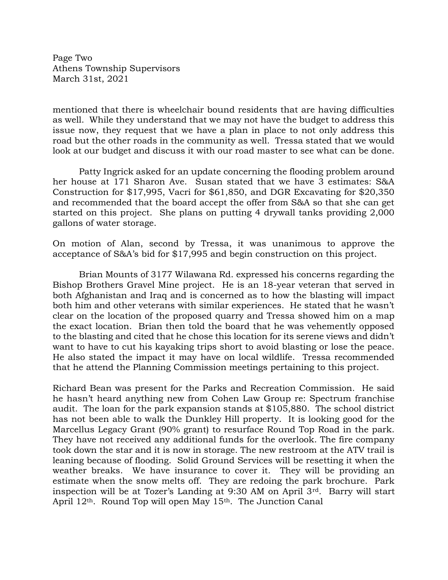Page Two Athens Township Supervisors March 31st, 2021

mentioned that there is wheelchair bound residents that are having difficulties as well. While they understand that we may not have the budget to address this issue now, they request that we have a plan in place to not only address this road but the other roads in the community as well. Tressa stated that we would look at our budget and discuss it with our road master to see what can be done.

Patty Ingrick asked for an update concerning the flooding problem around her house at 171 Sharon Ave. Susan stated that we have 3 estimates: S&A Construction for \$17,995, Vacri for \$61,850, and DGR Excavating for \$20,350 and recommended that the board accept the offer from S&A so that she can get started on this project. She plans on putting 4 drywall tanks providing 2,000 gallons of water storage.

On motion of Alan, second by Tressa, it was unanimous to approve the acceptance of S&A's bid for \$17,995 and begin construction on this project.

Brian Mounts of 3177 Wilawana Rd. expressed his concerns regarding the Bishop Brothers Gravel Mine project. He is an 18-year veteran that served in both Afghanistan and Iraq and is concerned as to how the blasting will impact both him and other veterans with similar experiences. He stated that he wasn't clear on the location of the proposed quarry and Tressa showed him on a map the exact location. Brian then told the board that he was vehemently opposed to the blasting and cited that he chose this location for its serene views and didn't want to have to cut his kayaking trips short to avoid blasting or lose the peace. He also stated the impact it may have on local wildlife. Tressa recommended that he attend the Planning Commission meetings pertaining to this project.

Richard Bean was present for the Parks and Recreation Commission. He said he hasn't heard anything new from Cohen Law Group re: Spectrum franchise audit. The loan for the park expansion stands at \$105,880. The school district has not been able to walk the Dunkley Hill property. It is looking good for the Marcellus Legacy Grant (90% grant) to resurface Round Top Road in the park. They have not received any additional funds for the overlook. The fire company took down the star and it is now in storage. The new restroom at the ATV trail is leaning because of flooding. Solid Ground Services will be resetting it when the weather breaks. We have insurance to cover it. They will be providing an estimate when the snow melts off. They are redoing the park brochure. Park inspection will be at Tozer's Landing at 9:30 AM on April 3rd. Barry will start April 12<sup>th</sup>. Round Top will open May 15<sup>th</sup>. The Junction Canal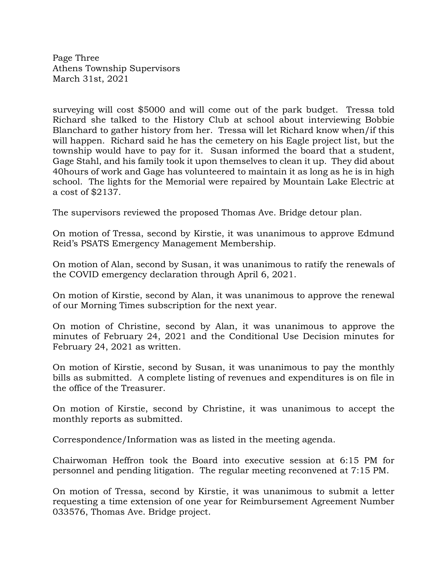Page Three Athens Township Supervisors March 31st, 2021

surveying will cost \$5000 and will come out of the park budget. Tressa told Richard she talked to the History Club at school about interviewing Bobbie Blanchard to gather history from her. Tressa will let Richard know when/if this will happen. Richard said he has the cemetery on his Eagle project list, but the township would have to pay for it. Susan informed the board that a student, Gage Stahl, and his family took it upon themselves to clean it up. They did about 40hours of work and Gage has volunteered to maintain it as long as he is in high school. The lights for the Memorial were repaired by Mountain Lake Electric at a cost of \$2137.

The supervisors reviewed the proposed Thomas Ave. Bridge detour plan.

On motion of Tressa, second by Kirstie, it was unanimous to approve Edmund Reid's PSATS Emergency Management Membership.

On motion of Alan, second by Susan, it was unanimous to ratify the renewals of the COVID emergency declaration through April 6, 2021.

On motion of Kirstie, second by Alan, it was unanimous to approve the renewal of our Morning Times subscription for the next year.

On motion of Christine, second by Alan, it was unanimous to approve the minutes of February 24, 2021 and the Conditional Use Decision minutes for February 24, 2021 as written.

On motion of Kirstie, second by Susan, it was unanimous to pay the monthly bills as submitted. A complete listing of revenues and expenditures is on file in the office of the Treasurer.

On motion of Kirstie, second by Christine, it was unanimous to accept the monthly reports as submitted.

Correspondence/Information was as listed in the meeting agenda.

Chairwoman Heffron took the Board into executive session at 6:15 PM for personnel and pending litigation. The regular meeting reconvened at 7:15 PM.

On motion of Tressa, second by Kirstie, it was unanimous to submit a letter requesting a time extension of one year for Reimbursement Agreement Number 033576, Thomas Ave. Bridge project.